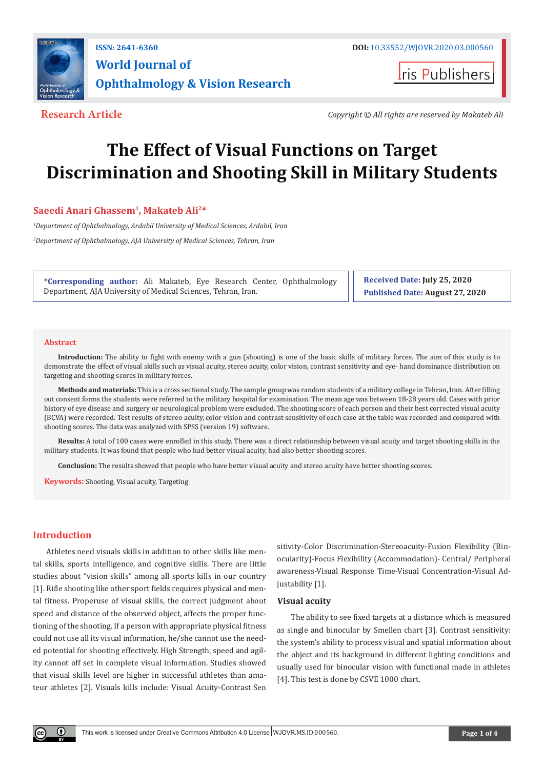

**Iris Publishers** 

**Research Article** *Copyright © All rights are reserved by Makateb Ali*

# **The Effect of Visual Functions on Target Discrimination and Shooting Skill in Military Students**

# **Saeedi Anari Ghassem1, Makateb Ali2\***

*1 Department of Ophthalmology, Ardabil University of Medical Sciences, Ardabil, Iran 2 Department of Ophthalmology, AJA University of Medical Sciences, Tehran, Iran*

**\*Corresponding author:** Ali Makateb, Eye Research Center, Ophthalmology Department, AJA University of Medical Sciences, Tehran, Iran.

**Received Date: July 25, 2020 Published Date: August 27, 2020**

#### **Abstract**

**Introduction:** The ability to fight with enemy with a gun (shooting) is one of the basic skills of military forces. The aim of this study is to demonstrate the effect of visual skills such as visual acuity, stereo acuity, color vision, contrast sensitivity and eye- hand dominance distribution on targeting and shooting scores in military forces.

**Methods and materials:** This is a cross sectional study. The sample group was random students of a military college in Tehran, Iran. After filling out consent forms the students were referred to the military hospital for examination. The mean age was between 18-28 years old. Cases with prior history of eye disease and surgery or neurological problem were excluded. The shooting score of each person and their best corrected visual acuity (BCVA) were recorded. Test results of stereo acuity, color vision and contrast sensitivity of each case at the table was recorded and compared with shooting scores. The data was analyzed with SPSS (version 19) software.

**Results:** A total of 100 cases were enrolled in this study. There was a direct relationship between visual acuity and target shooting skills in the military students. It was found that people who had better visual acuity, had also better shooting scores.

**Conclusion:** The results showed that people who have better visual acuity and stereo acuity have better shooting scores.

**Keywords:** Shooting, Visual acuity, Targeting

# **Introduction**

Athletes need visuals skills in addition to other skills like mental skills, sports intelligence, and cognitive skills. There are little studies about "vision skills" among all sports kills in our country [1]. Rifle shooting like other sport fields requires physical and mental fitness. Properuse of visual skills, the correct judgment about speed and distance of the observed object, affects the proper functioning of the shooting. If a person with appropriate physical fitness could not use all its visual information, he/she cannot use the needed potential for shooting effectively. High Strength, speed and agility cannot off set in complete visual information. Studies showed that visual skills level are higher in successful athletes than amateur athletes [2]. Visuals kills include: Visual Acuity-Contrast Sen

sitivity-Color Discrimination-Stereoacuity-Fusion Flexibility (Binocularity)-Focus Flexibility (Accommodation)- Central/ Peripheral awareness-Visual Response Time-Visual Concentration-Visual Adjustability [1].

#### **Visual acuity**

The ability to see fixed targets at a distance which is measured as single and binocular by Smellen chart [3]. Contrast sensitivity: the system's ability to process visual and spatial information about the object and its background in different lighting conditions and usually used for binocular vision with functional made in athletes [4]. This test is done by CSVE 1000 chart.

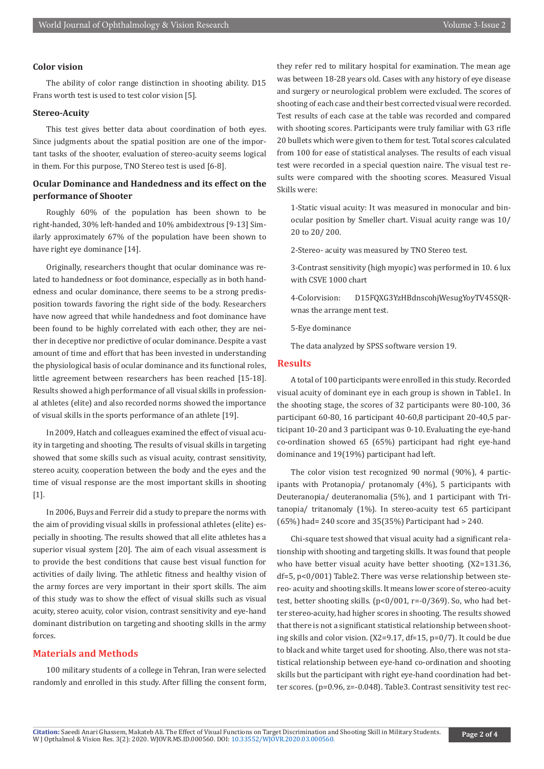# **Color vision**

The ability of color range distinction in shooting ability. D15 Frans worth test is used to test color vision [5].

## **Stereo-Acuity**

This test gives better data about coordination of both eyes. Since judgments about the spatial position are one of the important tasks of the shooter, evaluation of stereo-acuity seems logical in them. For this purpose, TNO Stereo test is used [6-8].

# **Ocular Dominance and Handedness and its effect on the performance of Shooter**

Roughly 60% of the population has been shown to be right-handed, 30% left-handed and 10% ambidextrous [9-13] Similarly approximately 67% of the population have been shown to have right eye dominance [14].

Originally, researchers thought that ocular dominance was related to handedness or foot dominance, especially as in both handedness and ocular dominance, there seems to be a strong predisposition towards favoring the right side of the body. Researchers have now agreed that while handedness and foot dominance have been found to be highly correlated with each other, they are neither in deceptive nor predictive of ocular dominance. Despite a vast amount of time and effort that has been invested in understanding the physiological basis of ocular dominance and its functional roles, little agreement between researchers has been reached [15-18]. Results showed a high performance of all visual skills in professional athletes (elite) and also recorded norms showed the importance of visual skills in the sports performance of an athlete [19].

In 2009, Hatch and colleagues examined the effect of visual acuity in targeting and shooting. The results of visual skills in targeting showed that some skills such as visual acuity, contrast sensitivity, stereo acuity, cooperation between the body and the eyes and the time of visual response are the most important skills in shooting [1].

In 2006, Buys and Ferreir did a study to prepare the norms with the aim of providing visual skills in professional athletes (elite) especially in shooting. The results showed that all elite athletes has a superior visual system [20]. The aim of each visual assessment is to provide the best conditions that cause best visual function for activities of daily living. The athletic fitness and healthy vision of the army forces are very important in their sport skills. The aim of this study was to show the effect of visual skills such as visual acuity, stereo acuity, color vision, contrast sensitivity and eye-hand dominant distribution on targeting and shooting skills in the army forces.

# **Materials and Methods**

100 military students of a college in Tehran, Iran were selected randomly and enrolled in this study. After filling the consent form, they refer red to military hospital for examination. The mean age was between 18-28 years old. Cases with any history of eye disease and surgery or neurological problem were excluded. The scores of shooting of each case and their best corrected visual were recorded. Test results of each case at the table was recorded and compared with shooting scores. Participants were truly familiar with G3 rifle 20 bullets which were given to them for test. Total scores calculated from 100 for ease of statistical analyses. The results of each visual test were recorded in a special question naire. The visual test results were compared with the shooting scores. Measured Visual Skills were:

1-Static visual acuity: It was measured in monocular and binocular position by Smeller chart. Visual acuity range was 10/ 20 to 20/ 200.

2-Stereo- acuity was measured by TNO Stereo test.

3-Contrast sensitivity (high myopic) was performed in 10. 6 lux with CSVE 1000 chart

4-Colorvision: D15FQXG3YzHBdnscohjWesugYoyTV45SQRwnas the arrange ment test.

5-Eye dominance

The data analyzed by SPSS software version 19.

#### **Results**

A total of 100 participants were enrolled in this study. Recorded visual acuity of dominant eye in each group is shown in Table1. In the shooting stage, the scores of 32 participants were 80-100, 36 participant 60-80, 16 participant 40-60,8 participant 20-40,5 participant 10-20 and 3 participant was 0-10. Evaluating the eye-hand co-ordination showed 65 (65%) participant had right eye-hand dominance and 19(19%) participant had left.

The color vision test recognized 90 normal (90%), 4 participants with Protanopia/ protanomaly (4%), 5 participants with Deuteranopia/ deuteranomalia (5%), and 1 participant with Tritanopia/ tritanomaly (1%). In stereo-acuity test 65 participant (65%) had= 240 score and 35(35%) Participant had > 240.

Chi-square test showed that visual acuity had a significant relationship with shooting and targeting skills. It was found that people who have better visual acuity have better shooting. (X2=131.36, df=5, p<0/001) Table2. There was verse relationship between stereo- acuity and shooting skills. It means lower score of stereo-acuity test, better shooting skills. (p<0/001, r=-0/369). So, who had better stereo-acuity, had higher scores in shooting. The results showed that there is not a significant statistical relationship between shooting skills and color vision. (X2=9.17, df=15, p=0/7). It could be due to black and white target used for shooting. Also, there was not statistical relationship between eye-hand co-ordination and shooting skills but the participant with right eye-hand coordination had better scores. (p=0.96, z=-0.048). Table3. Contrast sensitivity test rec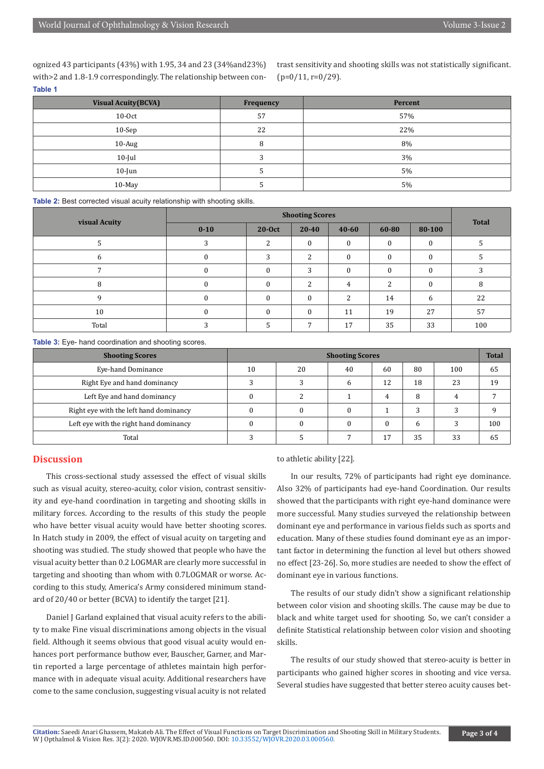ognized 43 participants (43%) with 1.95, 34 and 23 (34%and23%) with>2 and 1.8-1.9 correspondingly. The relationship between con-**Table 1**

trast sensitivity and shooting skills was not statistically significant.  $(p=0/11, r=0/29)$ .

| <b>Visual Acuity (BCVA)</b> | Frequency | Percent |
|-----------------------------|-----------|---------|
| $10-0ct$                    | 57        | 57%     |
| $10-Sep$                    | 22        | 22%     |
| 10-Aug                      | 8         | 8%      |
| $10$ -Jul                   |           | 3%      |
| $10$ -Jun                   |           | 5%      |
| 10-May                      |           | 5%      |

**Table 2:** Best corrected visual acuity relationship with shooting skills.

| visual Acuity | <b>Shooting Scores</b> |               |               |           |               |              | <b>Total</b> |
|---------------|------------------------|---------------|---------------|-----------|---------------|--------------|--------------|
|               | $0 - 10$               | 20-Oct        | 20-40         | $40 - 60$ | 60-80         | 80-100       |              |
|               |                        | $\mathcal{L}$ | $\Omega$      | $\Omega$  | $\Omega$      | $\Omega$     |              |
| 6             |                        | っ             | C.            | $\Omega$  | $\Omega$      | $\Omega$     |              |
|               |                        |               | 3             |           | $\Omega$      | $\theta$     |              |
| 8             |                        |               | $\mathcal{D}$ | 4         | $\mathcal{D}$ | $\mathbf{0}$ | 8            |
| 9             |                        |               | $\Omega$      | ຳ         | 14            | 6            | 22           |
| 10            |                        |               | $\Omega$      | 11        | 19            | 27           | 57           |
| Total         |                        |               | 7             | 17        | 35            | 33           | 100          |

**Table 3:** Eye- hand coordination and shooting scores.

| <b>Shooting Scores</b>                 | <b>Shooting Scores</b> |    |    |    |    |     |     |
|----------------------------------------|------------------------|----|----|----|----|-----|-----|
| Eye-hand Dominance                     | 10                     | 20 | 40 | 60 | 80 | 100 | 65  |
| Right Eye and hand dominancy           |                        |    | h  | 12 | 18 | 23  | 19  |
| Left Eye and hand dominancy            |                        |    |    | 4  | 8  |     |     |
| Right eye with the left hand dominancy |                        |    |    |    | 3  |     |     |
| Left eye with the right hand dominancy |                        |    |    |    | h  |     | 100 |
| Total                                  |                        |    |    | 17 | 35 | 33  | ხ5  |

### **Discussion**

This cross-sectional study assessed the effect of visual skills such as visual acuity, stereo-acuity, color vision, contrast sensitivity and eye-hand coordination in targeting and shooting skills in military forces. According to the results of this study the people who have better visual acuity would have better shooting scores. In Hatch study in 2009, the effect of visual acuity on targeting and shooting was studied. The study showed that people who have the visual acuity better than 0.2 LOGMAR are clearly more successful in targeting and shooting than whom with 0.7LOGMAR or worse. According to this study, America's Army considered minimum standard of 20/40 or better (BCVA) to identify the target [21].

Daniel J Garland explained that visual acuity refers to the ability to make Fine visual discriminations among objects in the visual field. Although it seems obvious that good visual acuity would enhances port performance buthow ever, Bauscher, Garner, and Martin reported a large percentage of athletes maintain high performance with in adequate visual acuity. Additional researchers have come to the same conclusion, suggesting visual acuity is not related

to athletic ability [22].

In our results, 72% of participants had right eye dominance. Also 32% of participants had eye-hand Coordination. Our results showed that the participants with right eye-hand dominance were more successful. Many studies surveyed the relationship between dominant eye and performance in various fields such as sports and education. Many of these studies found dominant eye as an important factor in determining the function al level but others showed no effect [23-26]. So, more studies are needed to show the effect of dominant eye in various functions.

The results of our study didn't show a significant relationship between color vision and shooting skills. The cause may be due to black and white target used for shooting. So, we can't consider a definite Statistical relationship between color vision and shooting skills.

The results of our study showed that stereo-acuity is better in participants who gained higher scores in shooting and vice versa. Several studies have suggested that better stereo acuity causes bet